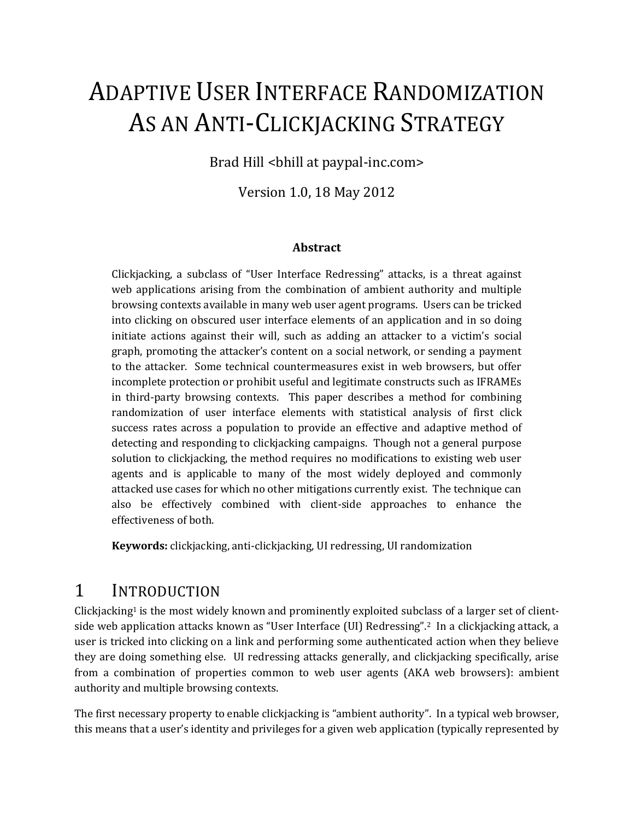# ADAPTIVE USER INTERFACE RANDOMIZATION AS AN ANTI-CLICKJACKING STRATEGY

Brad Hill <br/> <br/> <br/> <br/> <br/> <br/>ad paypal-inc.com>

Version 1.0, 18 May 2012

#### **Abstract**

Clickjacking, a subclass of "User Interface Redressing" attacks, is a threat against web applications arising from the combination of ambient authority and multiple browsing contexts available in many web user agent programs. Users can be tricked into clicking on obscured user interface elements of an application and in so doing initiate actions against their will, such as adding an attacker to a victim's social graph, promoting the attacker's content on a social network, or sending a payment to the attacker. Some technical countermeasures exist in web browsers, but offer incomplete protection or prohibit useful and legitimate constructs such as IFRAMEs in third-party browsing contexts. This paper describes a method for combining randomization of user interface elements with statistical analysis of first click success rates across a population to provide an effective and adaptive method of detecting and responding to clickjacking campaigns. Though not a general purpose solution to clickjacking, the method requires no modifications to existing web user agents and is applicable to many of the most widely deployed and commonly attacked use cases for which no other mitigations currently exist. The technique can also be effectively combined with client-side approaches to enhance the effectiveness of both.

**Keywords:** clickjacking, anti-clickjacking, UI redressing, UI randomization

#### 1 INTRODUCTION

 $C$ lickjacking<sup>1</sup> is the most widely known and prominently exploited subclass of a larger set of clientside web application attacks known as "User Interface (UI) Redressing".2 In a clickjacking attack, a user is tricked into clicking on a link and performing some authenticated action when they believe they are doing something else. UI redressing attacks generally, and clickjacking specifically, arise from a combination of properties common to web user agents (AKA web browsers): ambient authority and multiple browsing contexts.

The first necessary property to enable clickjacking is "ambient authority". In a typical web browser, this means that a user's identity and privileges for a given web application (typically represented by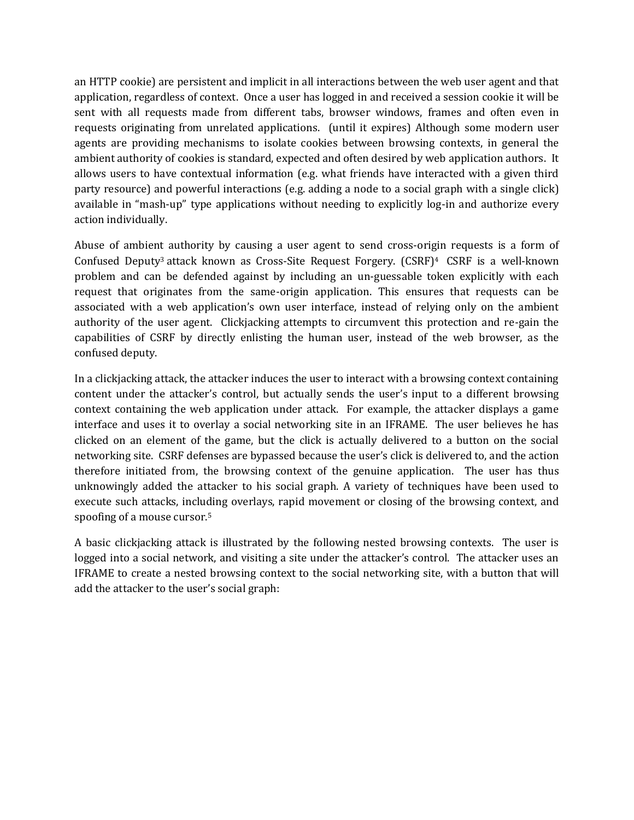an HTTP cookie) are persistent and implicit in all interactions between the web user agent and that application, regardless of context. Once a user has logged in and received a session cookie it will be sent with all requests made from different tabs, browser windows, frames and often even in requests originating from unrelated applications. (until it expires) Although some modern user agents are providing mechanisms to isolate cookies between browsing contexts, in general the ambient authority of cookies is standard, expected and often desired by web application authors. It allows users to have contextual information (e.g. what friends have interacted with a given third party resource) and powerful interactions (e.g. adding a node to a social graph with a single click) available in "mash-up" type applications without needing to explicitly log-in and authorize every action individually.

Abuse of ambient authority by causing a user agent to send cross-origin requests is a form of Confused Deputy<sup>3</sup> attack known as Cross-Site Request Forgery. (CSRF)<sup>4</sup> CSRF is a well-known problem and can be defended against by including an un-guessable token explicitly with each request that originates from the same-origin application. This ensures that requests can be associated with a web application's own user interface, instead of relying only on the ambient authority of the user agent. Clickjacking attempts to circumvent this protection and re-gain the capabilities of CSRF by directly enlisting the human user, instead of the web browser, as the confused deputy.

In a clickjacking attack, the attacker induces the user to interact with a browsing context containing content under the attacker's control, but actually sends the user's input to a different browsing context containing the web application under attack. For example, the attacker displays a game interface and uses it to overlay a social networking site in an IFRAME. The user believes he has clicked on an element of the game, but the click is actually delivered to a button on the social networking site. CSRF defenses are bypassed because the user's click is delivered to, and the action therefore initiated from, the browsing context of the genuine application. The user has thus unknowingly added the attacker to his social graph. A variety of techniques have been used to execute such attacks, including overlays, rapid movement or closing of the browsing context, and spoofing of a mouse cursor.<sup>5</sup>

A basic clickjacking attack is illustrated by the following nested browsing contexts. The user is logged into a social network, and visiting a site under the attacker's control. The attacker uses an IFRAME to create a nested browsing context to the social networking site, with a button that will add the attacker to the user's social graph: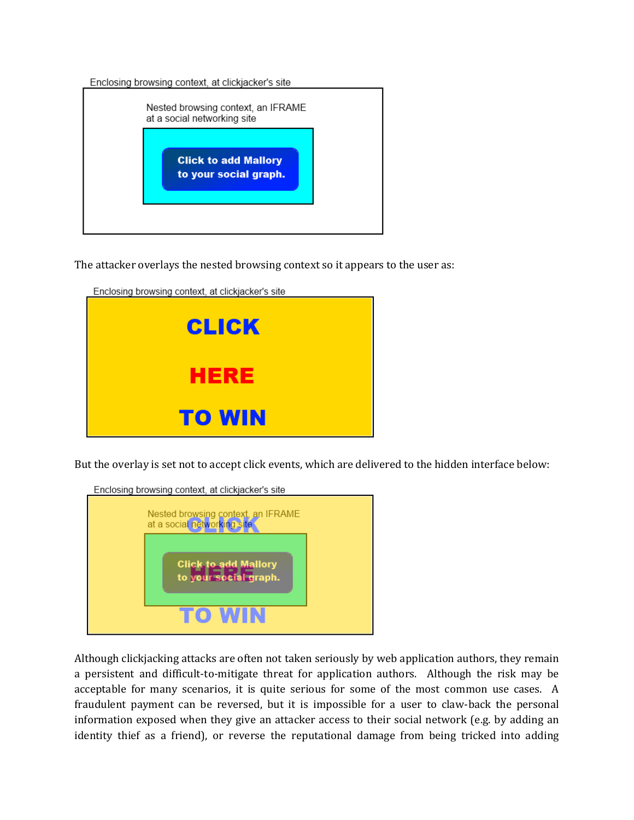Enclosing browsing context, at clickjacker's site

Englanting becoming contact, of diplomatical site

| <b>Click to add Mallory</b> |  |
|-----------------------------|--|
| to your social graph.       |  |

The attacker overlays the nested browsing context so it appears to the user as:

| Enclosing prowsing context, at circklacker's site<br>CLICK |  |
|------------------------------------------------------------|--|
| HERE                                                       |  |
| <b>TO WIN</b>                                              |  |

But the overlay is set not to accept click events, which are delivered to the hidden interface below:



Although clickjacking attacks are often not taken seriously by web application authors, they remain a persistent and difficult-to-mitigate threat for application authors. Although the risk may be acceptable for many scenarios, it is quite serious for some of the most common use cases. A fraudulent payment can be reversed, but it is impossible for a user to claw-back the personal information exposed when they give an attacker access to their social network (e.g. by adding an identity thief as a friend), or reverse the reputational damage from being tricked into adding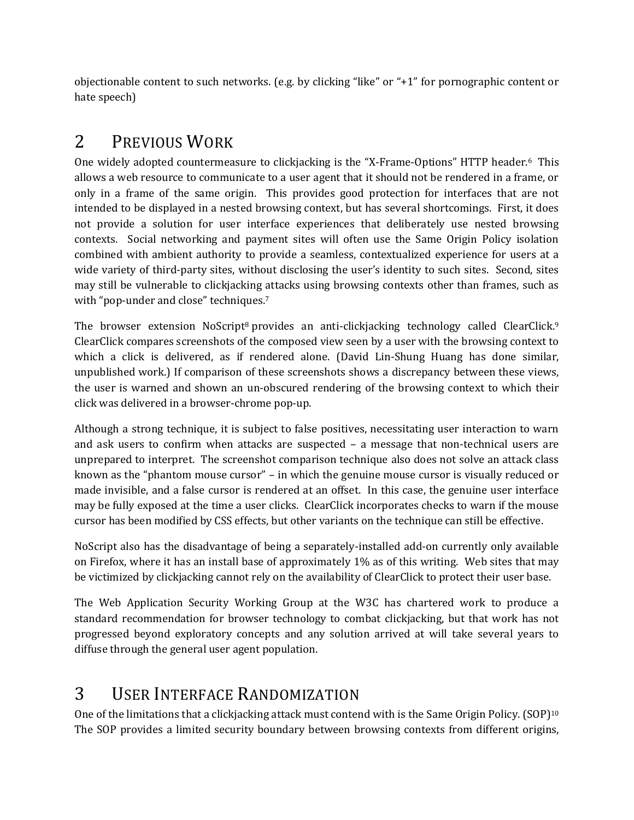objectionable content to such networks. (e.g. by clicking "like" or "+1" for pornographic content or hate speech)

# 2 PREVIOUS WORK

One widely adopted countermeasure to clickjacking is the "X-Frame-Options" HTTP header.6 This allows a web resource to communicate to a user agent that it should not be rendered in a frame, or only in a frame of the same origin. This provides good protection for interfaces that are not intended to be displayed in a nested browsing context, but has several shortcomings. First, it does not provide a solution for user interface experiences that deliberately use nested browsing contexts. Social networking and payment sites will often use the Same Origin Policy isolation combined with ambient authority to provide a seamless, contextualized experience for users at a wide variety of third-party sites, without disclosing the user's identity to such sites. Second, sites may still be vulnerable to clickjacking attacks using browsing contexts other than frames, such as with "pop-under and close" techniques.<sup>7</sup>

The browser extension NoScript<sup>8</sup> provides an anti-clickjacking technology called ClearClick.<sup>9</sup> ClearClick compares screenshots of the composed view seen by a user with the browsing context to which a click is delivered, as if rendered alone. (David Lin-Shung Huang has done similar, unpublished work.) If comparison of these screenshots shows a discrepancy between these views, the user is warned and shown an un-obscured rendering of the browsing context to which their click was delivered in a browser-chrome pop-up.

Although a strong technique, it is subject to false positives, necessitating user interaction to warn and ask users to confirm when attacks are suspected – a message that non-technical users are unprepared to interpret. The screenshot comparison technique also does not solve an attack class known as the "phantom mouse cursor" – in which the genuine mouse cursor is visually reduced or made invisible, and a false cursor is rendered at an offset. In this case, the genuine user interface may be fully exposed at the time a user clicks. ClearClick incorporates checks to warn if the mouse cursor has been modified by CSS effects, but other variants on the technique can still be effective.

NoScript also has the disadvantage of being a separately-installed add-on currently only available on Firefox, where it has an install base of approximately 1% as of this writing. Web sites that may be victimized by clickjacking cannot rely on the availability of ClearClick to protect their user base.

The Web Application Security Working Group at the W3C has chartered work to produce a standard recommendation for browser technology to combat clickjacking, but that work has not progressed beyond exploratory concepts and any solution arrived at will take several years to diffuse through the general user agent population.

# 3 USER INTERFACE RANDOMIZATION

One of the limitations that a clickjacking attack must contend with is the Same Origin Policy. (SOP)<sup>10</sup> The SOP provides a limited security boundary between browsing contexts from different origins,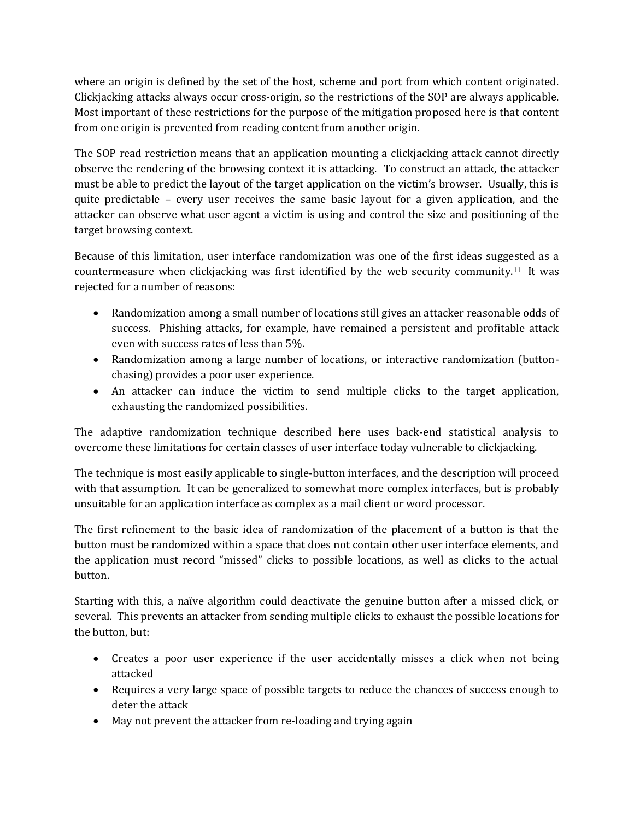where an origin is defined by the set of the host, scheme and port from which content originated. Clickjacking attacks always occur cross-origin, so the restrictions of the SOP are always applicable. Most important of these restrictions for the purpose of the mitigation proposed here is that content from one origin is prevented from reading content from another origin.

The SOP read restriction means that an application mounting a clickjacking attack cannot directly observe the rendering of the browsing context it is attacking. To construct an attack, the attacker must be able to predict the layout of the target application on the victim's browser. Usually, this is quite predictable – every user receives the same basic layout for a given application, and the attacker can observe what user agent a victim is using and control the size and positioning of the target browsing context.

Because of this limitation, user interface randomization was one of the first ideas suggested as a countermeasure when clickjacking was first identified by the web security community.11 It was rejected for a number of reasons:

- Randomization among a small number of locations still gives an attacker reasonable odds of success. Phishing attacks, for example, have remained a persistent and profitable attack even with success rates of less than 5%.
- Randomization among a large number of locations, or interactive randomization (buttonchasing) provides a poor user experience.
- An attacker can induce the victim to send multiple clicks to the target application, exhausting the randomized possibilities.

The adaptive randomization technique described here uses back-end statistical analysis to overcome these limitations for certain classes of user interface today vulnerable to clickjacking.

The technique is most easily applicable to single-button interfaces, and the description will proceed with that assumption. It can be generalized to somewhat more complex interfaces, but is probably unsuitable for an application interface as complex as a mail client or word processor.

The first refinement to the basic idea of randomization of the placement of a button is that the button must be randomized within a space that does not contain other user interface elements, and the application must record "missed" clicks to possible locations, as well as clicks to the actual button.

Starting with this, a naïve algorithm could deactivate the genuine button after a missed click, or several. This prevents an attacker from sending multiple clicks to exhaust the possible locations for the button, but:

- Creates a poor user experience if the user accidentally misses a click when not being attacked
- Requires a very large space of possible targets to reduce the chances of success enough to deter the attack
- May not prevent the attacker from re-loading and trying again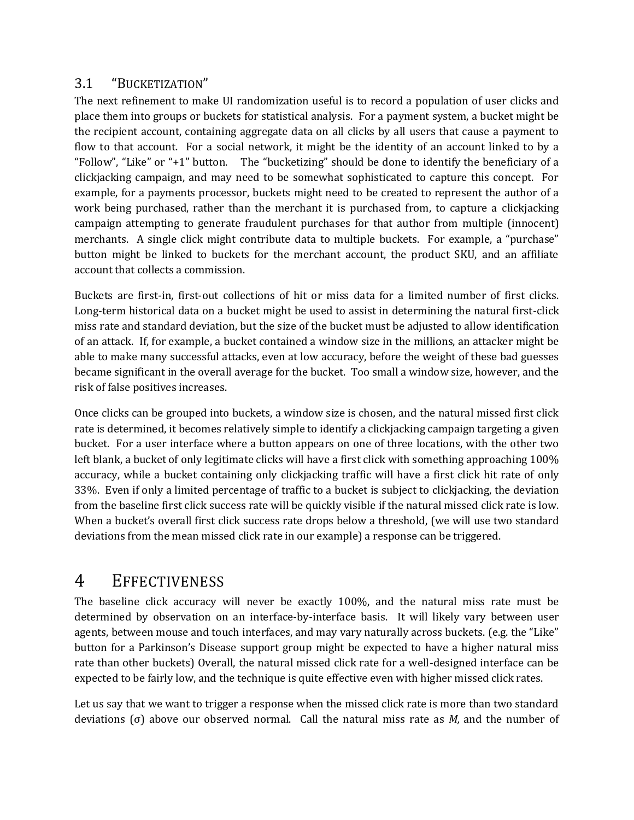#### 3.1 "BUCKETIZATION"

The next refinement to make UI randomization useful is to record a population of user clicks and place them into groups or buckets for statistical analysis. For a payment system, a bucket might be the recipient account, containing aggregate data on all clicks by all users that cause a payment to flow to that account. For a social network, it might be the identity of an account linked to by a "Follow", "Like" or "+1" button. The "bucketizing" should be done to identify the beneficiary of a clickjacking campaign, and may need to be somewhat sophisticated to capture this concept. For example, for a payments processor, buckets might need to be created to represent the author of a work being purchased, rather than the merchant it is purchased from, to capture a clickjacking campaign attempting to generate fraudulent purchases for that author from multiple (innocent) merchants. A single click might contribute data to multiple buckets. For example, a "purchase" button might be linked to buckets for the merchant account, the product SKU, and an affiliate account that collects a commission.

Buckets are first-in, first-out collections of hit or miss data for a limited number of first clicks. Long-term historical data on a bucket might be used to assist in determining the natural first-click miss rate and standard deviation, but the size of the bucket must be adjusted to allow identification of an attack. If, for example, a bucket contained a window size in the millions, an attacker might be able to make many successful attacks, even at low accuracy, before the weight of these bad guesses became significant in the overall average for the bucket. Too small a window size, however, and the risk of false positives increases.

Once clicks can be grouped into buckets, a window size is chosen, and the natural missed first click rate is determined, it becomes relatively simple to identify a clickjacking campaign targeting a given bucket. For a user interface where a button appears on one of three locations, with the other two left blank, a bucket of only legitimate clicks will have a first click with something approaching 100% accuracy, while a bucket containing only clickjacking traffic will have a first click hit rate of only 33%. Even if only a limited percentage of traffic to a bucket is subject to clickjacking, the deviation from the baseline first click success rate will be quickly visible if the natural missed click rate is low. When a bucket's overall first click success rate drops below a threshold, (we will use two standard deviations from the mean missed click rate in our example) a response can be triggered.

#### 4 EFFECTIVENESS

The baseline click accuracy will never be exactly 100%, and the natural miss rate must be determined by observation on an interface-by-interface basis. It will likely vary between user agents, between mouse and touch interfaces, and may vary naturally across buckets. (e.g. the "Like" button for a Parkinson's Disease support group might be expected to have a higher natural miss rate than other buckets) Overall, the natural missed click rate for a well-designed interface can be expected to be fairly low, and the technique is quite effective even with higher missed click rates.

Let us say that we want to trigger a response when the missed click rate is more than two standard deviations (σ) above our observed normal. Call the natural miss rate as *M,* and the number of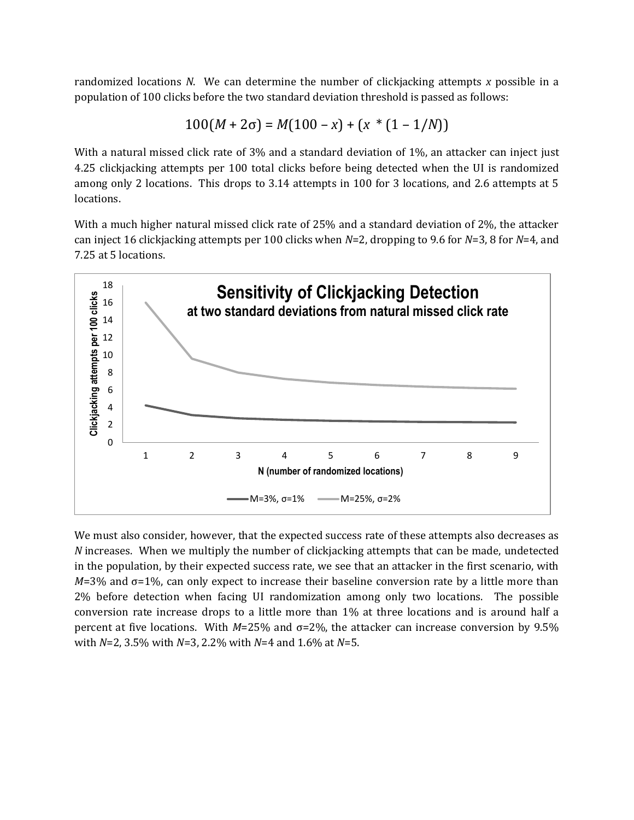randomized locations *N*. We can determine the number of clickjacking attempts *x* possible in a population of 100 clicks before the two standard deviation threshold is passed as follows:

$$
100(M+2\sigma) = M(100-x) + (x * (1 - 1/N))
$$

With a natural missed click rate of 3% and a standard deviation of 1%, an attacker can inject just 4.25 clickjacking attempts per 100 total clicks before being detected when the UI is randomized among only 2 locations. This drops to 3.14 attempts in 100 for 3 locations, and 2.6 attempts at 5 locations.

With a much higher natural missed click rate of 25% and a standard deviation of 2%, the attacker can inject 16 clickjacking attempts per 100 clicks when *N*=2, dropping to 9.6 for *N*=3, 8 for *N*=4, and 7.25 at 5 locations.



We must also consider, however, that the expected success rate of these attempts also decreases as *N* increases. When we multiply the number of clickjacking attempts that can be made, undetected in the population, by their expected success rate, we see that an attacker in the first scenario, with  $M=3\%$  and  $\sigma=1\%$ , can only expect to increase their baseline conversion rate by a little more than 2% before detection when facing UI randomization among only two locations. The possible conversion rate increase drops to a little more than 1% at three locations and is around half a percent at five locations. With *M*=25% and σ=2%, the attacker can increase conversion by 9.5% with *N*=2, 3.5% with *N*=3, 2.2% with *N*=4 and 1.6% at *N*=5.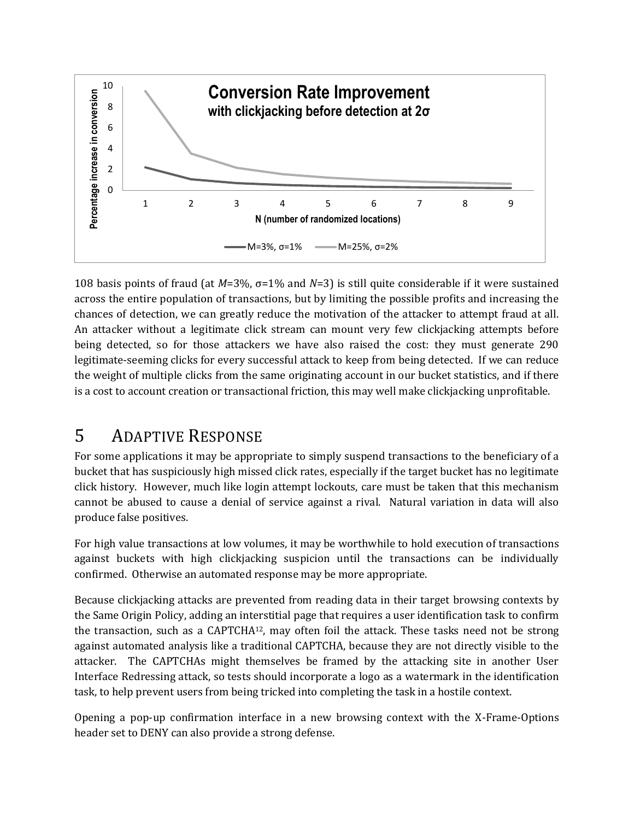

108 basis points of fraud (at *M*=3%, σ=1% and *N*=3) is still quite considerable if it were sustained across the entire population of transactions, but by limiting the possible profits and increasing the chances of detection, we can greatly reduce the motivation of the attacker to attempt fraud at all. An attacker without a legitimate click stream can mount very few clickjacking attempts before being detected, so for those attackers we have also raised the cost: they must generate 290 legitimate-seeming clicks for every successful attack to keep from being detected. If we can reduce the weight of multiple clicks from the same originating account in our bucket statistics, and if there is a cost to account creation or transactional friction, this may well make clickjacking unprofitable.

## 5 ADAPTIVE RESPONSE

For some applications it may be appropriate to simply suspend transactions to the beneficiary of a bucket that has suspiciously high missed click rates, especially if the target bucket has no legitimate click history. However, much like login attempt lockouts, care must be taken that this mechanism cannot be abused to cause a denial of service against a rival. Natural variation in data will also produce false positives.

For high value transactions at low volumes, it may be worthwhile to hold execution of transactions against buckets with high clickjacking suspicion until the transactions can be individually confirmed. Otherwise an automated response may be more appropriate.

Because clickjacking attacks are prevented from reading data in their target browsing contexts by the Same Origin Policy, adding an interstitial page that requires a user identification task to confirm the transaction, such as a CAPTCHA12, may often foil the attack. These tasks need not be strong against automated analysis like a traditional CAPTCHA, because they are not directly visible to the attacker. The CAPTCHAs might themselves be framed by the attacking site in another User Interface Redressing attack, so tests should incorporate a logo as a watermark in the identification task, to help prevent users from being tricked into completing the task in a hostile context.

Opening a pop-up confirmation interface in a new browsing context with the X-Frame-Options header set to DENY can also provide a strong defense.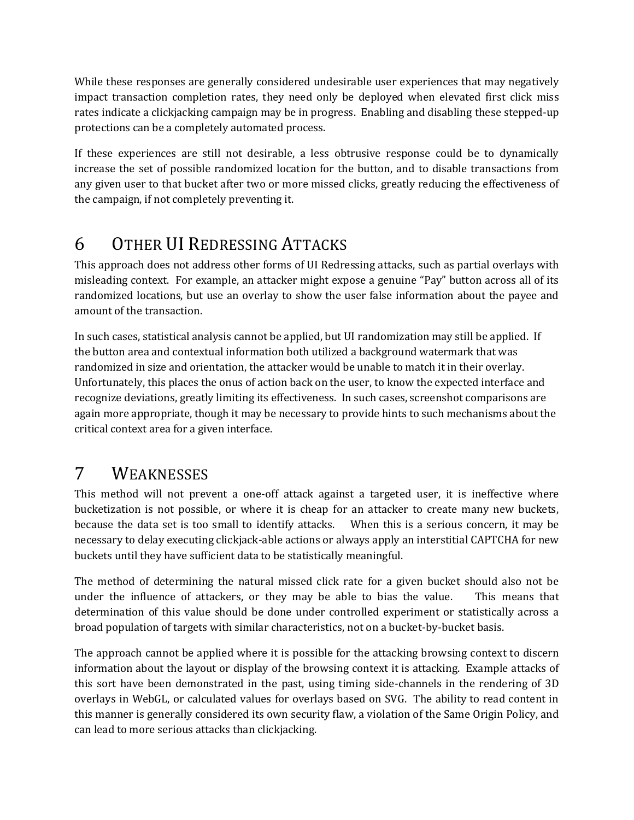While these responses are generally considered undesirable user experiences that may negatively impact transaction completion rates, they need only be deployed when elevated first click miss rates indicate a clickjacking campaign may be in progress. Enabling and disabling these stepped-up protections can be a completely automated process.

If these experiences are still not desirable, a less obtrusive response could be to dynamically increase the set of possible randomized location for the button, and to disable transactions from any given user to that bucket after two or more missed clicks, greatly reducing the effectiveness of the campaign, if not completely preventing it.

# 6 OTHER UI REDRESSING ATTACKS

This approach does not address other forms of UI Redressing attacks, such as partial overlays with misleading context. For example, an attacker might expose a genuine "Pay" button across all of its randomized locations, but use an overlay to show the user false information about the payee and amount of the transaction.

In such cases, statistical analysis cannot be applied, but UI randomization may still be applied. If the button area and contextual information both utilized a background watermark that was randomized in size and orientation, the attacker would be unable to match it in their overlay. Unfortunately, this places the onus of action back on the user, to know the expected interface and recognize deviations, greatly limiting its effectiveness. In such cases, screenshot comparisons are again more appropriate, though it may be necessary to provide hints to such mechanisms about the critical context area for a given interface.

## 7 WEAKNESSES

This method will not prevent a one-off attack against a targeted user, it is ineffective where bucketization is not possible, or where it is cheap for an attacker to create many new buckets, because the data set is too small to identify attacks. When this is a serious concern, it may be necessary to delay executing clickjack-able actions or always apply an interstitial CAPTCHA for new buckets until they have sufficient data to be statistically meaningful.

The method of determining the natural missed click rate for a given bucket should also not be under the influence of attackers, or they may be able to bias the value. This means that determination of this value should be done under controlled experiment or statistically across a broad population of targets with similar characteristics, not on a bucket-by-bucket basis.

The approach cannot be applied where it is possible for the attacking browsing context to discern information about the layout or display of the browsing context it is attacking. Example attacks of this sort have been demonstrated in the past, using timing side-channels in the rendering of 3D overlays in WebGL, or calculated values for overlays based on SVG. The ability to read content in this manner is generally considered its own security flaw, a violation of the Same Origin Policy, and can lead to more serious attacks than clickjacking.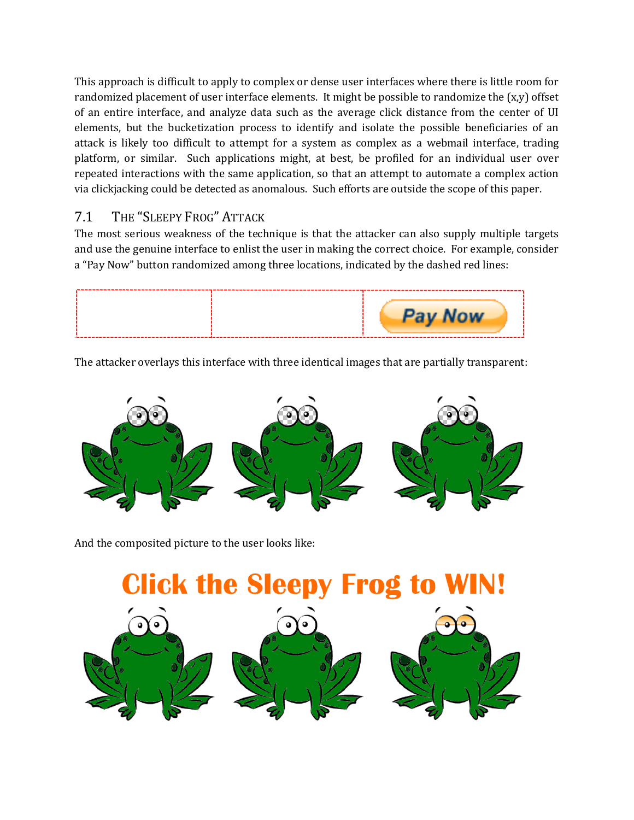This approach is difficult to apply to complex or dense user interfaces where there is little room for randomized placement of user interface elements. It might be possible to randomize the  $(x,y)$  offset of an entire interface, and analyze data such as the average click distance from the center of UI elements, but the bucketization process to identify and isolate the possible beneficiaries of an attack is likely too difficult to attempt for a system as complex as a webmail interface, trading platform, or similar. Such applications might, at best, be profiled for an individual user over repeated interactions with the same application, so that an attempt to automate a complex action via clickjacking could be detected as anomalous. Such efforts are outside the scope of this paper.

#### 7.1 THE "SLEEPY FROG" ATTACK

The most serious weakness of the technique is that the attacker can also supply multiple targets and use the genuine interface to enlist the user in making the correct choice. For example, consider a "Pay Now" button randomized among three locations, indicated by the dashed red lines:



The attacker overlays this interface with three identical images that are partially transparent:



And the composited picture to the user looks like:

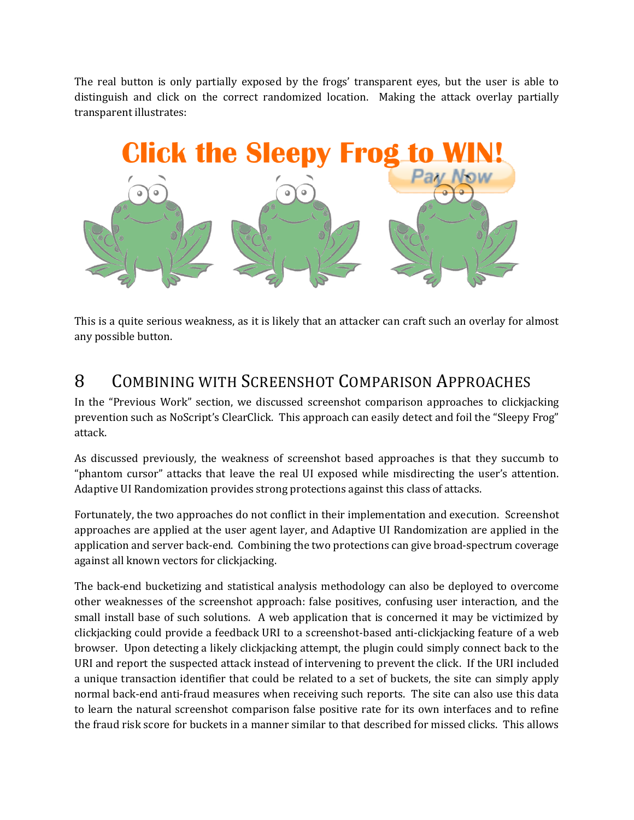The real button is only partially exposed by the frogs' transparent eyes, but the user is able to distinguish and click on the correct randomized location. Making the attack overlay partially transparent illustrates:



This is a quite serious weakness, as it is likely that an attacker can craft such an overlay for almost any possible button.

## 8 COMBINING WITH SCREENSHOT COMPARISON APPROACHES

In the "Previous Work" section, we discussed screenshot comparison approaches to clickjacking prevention such as NoScript's ClearClick. This approach can easily detect and foil the "Sleepy Frog" attack.

As discussed previously, the weakness of screenshot based approaches is that they succumb to "phantom cursor" attacks that leave the real UI exposed while misdirecting the user's attention. Adaptive UI Randomization provides strong protections against this class of attacks.

Fortunately, the two approaches do not conflict in their implementation and execution. Screenshot approaches are applied at the user agent layer, and Adaptive UI Randomization are applied in the application and server back-end. Combining the two protections can give broad-spectrum coverage against all known vectors for clickjacking.

The back-end bucketizing and statistical analysis methodology can also be deployed to overcome other weaknesses of the screenshot approach: false positives, confusing user interaction, and the small install base of such solutions. A web application that is concerned it may be victimized by clickjacking could provide a feedback URI to a screenshot-based anti-clickjacking feature of a web browser. Upon detecting a likely clickjacking attempt, the plugin could simply connect back to the URI and report the suspected attack instead of intervening to prevent the click. If the URI included a unique transaction identifier that could be related to a set of buckets, the site can simply apply normal back-end anti-fraud measures when receiving such reports. The site can also use this data to learn the natural screenshot comparison false positive rate for its own interfaces and to refine the fraud risk score for buckets in a manner similar to that described for missed clicks. This allows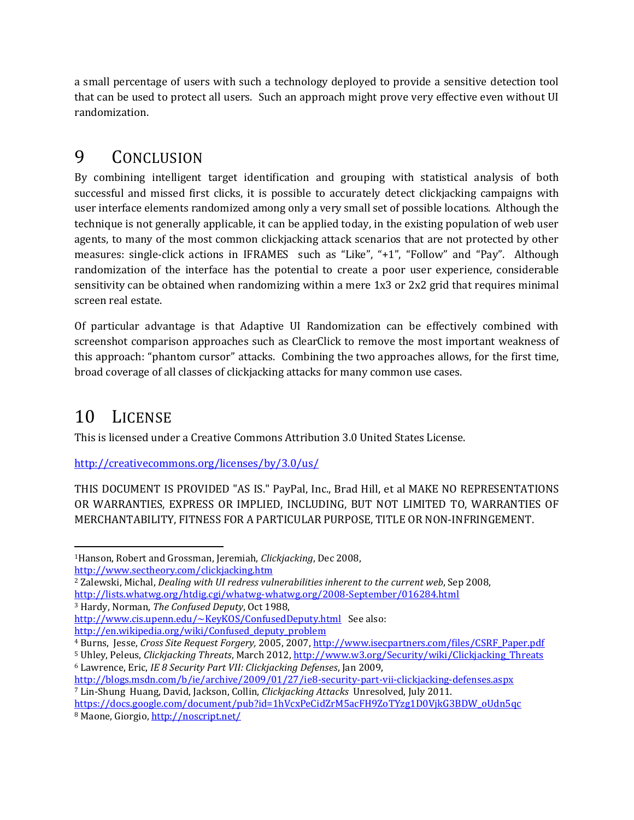a small percentage of users with such a technology deployed to provide a sensitive detection tool that can be used to protect all users. Such an approach might prove very effective even without UI randomization.

#### 9 CONCLUSION

By combining intelligent target identification and grouping with statistical analysis of both successful and missed first clicks, it is possible to accurately detect clickjacking campaigns with user interface elements randomized among only a very small set of possible locations. Although the technique is not generally applicable, it can be applied today, in the existing population of web user agents, to many of the most common clickjacking attack scenarios that are not protected by other measures: single-click actions in IFRAMES such as "Like", "+1", "Follow" and "Pay". Although randomization of the interface has the potential to create a poor user experience, considerable sensitivity can be obtained when randomizing within a mere 1x3 or 2x2 grid that requires minimal screen real estate.

Of particular advantage is that Adaptive UI Randomization can be effectively combined with screenshot comparison approaches such as ClearClick to remove the most important weakness of this approach: "phantom cursor" attacks. Combining the two approaches allows, for the first time, broad coverage of all classes of clickjacking attacks for many common use cases.

## 10 LICENSE

This is licensed under a Creative Commons Attribution 3.0 United States License.

<http://creativecommons.org/licenses/by/3.0/us/>

THIS DOCUMENT IS PROVIDED "AS IS." PayPal, Inc., Brad Hill, et al MAKE NO REPRESENTATIONS OR WARRANTIES, EXPRESS OR IMPLIED, INCLUDING, BUT NOT LIMITED TO, WARRANTIES OF MERCHANTABILITY, FITNESS FOR A PARTICULAR PURPOSE, TITLE OR NON-INFRINGEMENT.

<http://www.sectheory.com/clickjacking.htm>

- <sup>3</sup> Hardy, Norman, *The Confused Deputy*, Oct 1988,
- <http://www.cis.upenn.edu/~KeyKOS/ConfusedDeputy.html>See also: [http://en.wikipedia.org/wiki/Confused\\_deputy\\_problem](http://en.wikipedia.org/wiki/Confused_deputy_problem)
- <sup>4</sup> Burns, Jesse, *Cross Site Request Forgery,* 2005, 2007[, http://www.isecpartners.com/files/CSRF\\_Paper.pdf](http://www.isecpartners.com/files/CSRF_Paper.pdf)
- <sup>5</sup> Uhley, Peleus, *Clickjacking Threats*, March 2012, [http://www.w3.org/Security/wiki/Clickjacking\\_Threats](http://www.w3.org/Security/wiki/Clickjacking_Threats) <sup>6</sup> Lawrence, Eric, *IE 8 Security Part VII: Clickjacking Defenses*, Jan 2009,

l <sup>1</sup>Hanson, Robert and Grossman, Jeremiah, *Clickjacking*, Dec 2008,

<sup>2</sup> Zalewski, Michal, *Dealing with UI redress vulnerabilities inherent to the current web*, Sep 2008, <http://lists.whatwg.org/htdig.cgi/whatwg-whatwg.org/2008-September/016284.html>

<http://blogs.msdn.com/b/ie/archive/2009/01/27/ie8-security-part-vii-clickjacking-defenses.aspx> <sup>7</sup> Lin-Shung Huang, David, Jackson, Collin, *Clickjacking Attacks* Unresolved, July 2011.

[https://docs.google.com/document/pub?id=1hVcxPeCidZrM5acFH9ZoTYzg1D0VjkG3BDW\\_oUdn5qc](https://docs.google.com/document/pub?id=1hVcxPeCidZrM5acFH9ZoTYzg1D0VjkG3BDW_oUdn5qc) 8 Maone, Giorgio[, http://noscript.net/](http://noscript.net/)